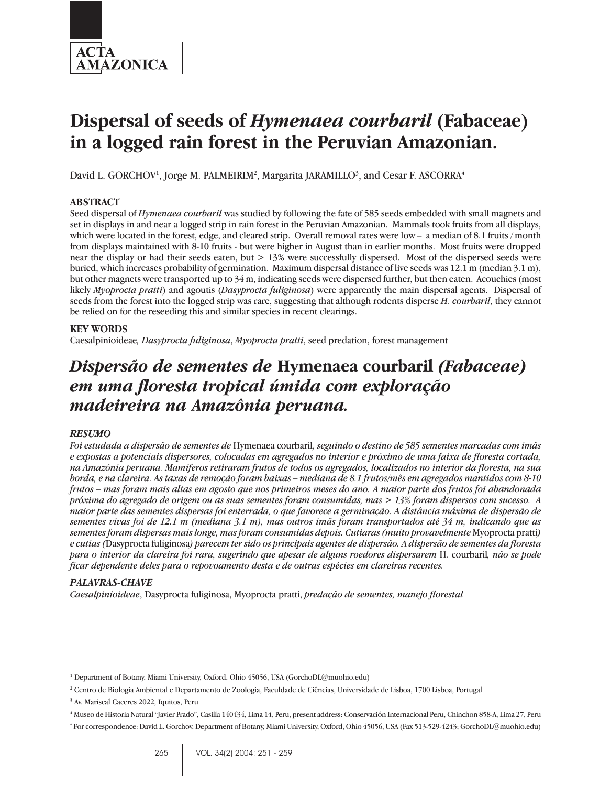

# **Dispersal of seeds of** *Hymenaea courbaril* **(Fabaceae) in a logged rain forest in the Peruvian Amazonian.**

David L. GORCHOV<sup>1</sup>, Jorge M. PALMEIRIM<sup>2</sup>, Margarita JARAMILLO<sup>3</sup>, and Cesar F. ASCORRA<sup>4</sup>

## **ABSTRACT**

Seed dispersal of *Hymenaea courbaril* was studied by following the fate of 585 seeds embedded with small magnets and set in displays in and near a logged strip in rain forest in the Peruvian Amazonian. Mammals took fruits from all displays, which were located in the forest, edge, and cleared strip. Overall removal rates were low – a median of 8.1 fruits / month from displays maintained with 8-10 fruits - but were higher in August than in earlier months. Most fruits were dropped near the display or had their seeds eaten, but > 13% were successfully dispersed. Most of the dispersed seeds were buried, which increases probability of germination. Maximum dispersal distance of live seeds was 12.1 m (median 3.1 m), but other magnets were transported up to 34 m, indicating seeds were dispersed further, but then eaten. Acouchies (most likely *Myoprocta pratti*) and agoutis (*Dasyprocta fuliginosa*) were apparently the main dispersal agents. Dispersal of seeds from the forest into the logged strip was rare, suggesting that although rodents disperse *H. courbaril*, they cannot be relied on for the reseeding this and similar species in recent clearings.

## **KEY WORDS**

Caesalpinioideae*, Dasyprocta fuliginosa*, *Myoprocta pratti*, seed predation, forest management

## *Dispersão de sementes de* **Hymenaea courbaril** *(Fabaceae) em uma floresta tropical úmida com exploração madeireira na Amazônia peruana.*

## *RESUMO*

*Foi estudada a dispersão de sementes de* Hymenaea courbaril*, seguindo o destino de 585 sementes marcadas com imãs e expostas a potenciais dispersores, colocadas em agregados no interior e próximo de uma faixa de floresta cortada, na Amazónia peruana. Mamíferos retiraram frutos de todos os agregados, localizados no interior da floresta, na sua borda, e na clareira. As taxas de remoção foram baixas – mediana de 8.1 frutos/mês em agregados mantidos com 8-10 frutos – mas foram mais altas em agosto que nos primeiros meses do ano. A maior parte dos frutos foi abandonada próxima do agregado de origem ou as suas sementes foram consumidas, mas > 13% foram dispersos com sucesso. A maior parte das sementes dispersas foi enterrada, o que favorece a germinação. A distância máxima de dispersão de sementes vivas foi de 12.1 m (mediana 3.1 m), mas outros imãs foram transportados até 34 m, indicando que as sementes foram dispersas mais longe, mas foram consumidas depois. Cutiaras (muito provavelmente* Myoprocta pratti*) e cutias (*Dasyprocta fuliginosa*) parecem ter sido os principais agentes de dispersão. A dispersão de sementes da floresta para o interior da clareira foi rara, sugerindo que apesar de alguns roedores dispersarem* H. courbaril*, não se pode ficar dependente deles para o repovoamento desta e de outras espécies em clareiras recentes.*

## *PALAVRAS-CHAVE*

*Caesalpinioideae*, Dasyprocta fuliginosa, Myoprocta pratti, *predação de sementes, manejo florestal*

<sup>1</sup> Department of Botany, Miami University, Oxford, Ohio 45056, USA (GorchoDL@muohio.edu)

<sup>2</sup> Centro de Biologia Ambiental e Departamento de Zoologia, Faculdade de Ciências, Universidade de Lisboa, 1700 Lisboa, Portugal

<sup>3</sup> Av. Mariscal Caceres 2022, Iquitos, Peru

<sup>4</sup> Museo de Historia Natural "Javier Prado", Casilla 140434, Lima 14, Peru, present address: Conservación Internacional Peru, Chinchon 858-A, Lima 27, Peru

<sup>\*</sup> For correspondence: David L. Gorchov, Department of Botany, Miami University, Oxford, Ohio 45056, USA (Fax 513-529-4243; GorchoDL@muohio.edu)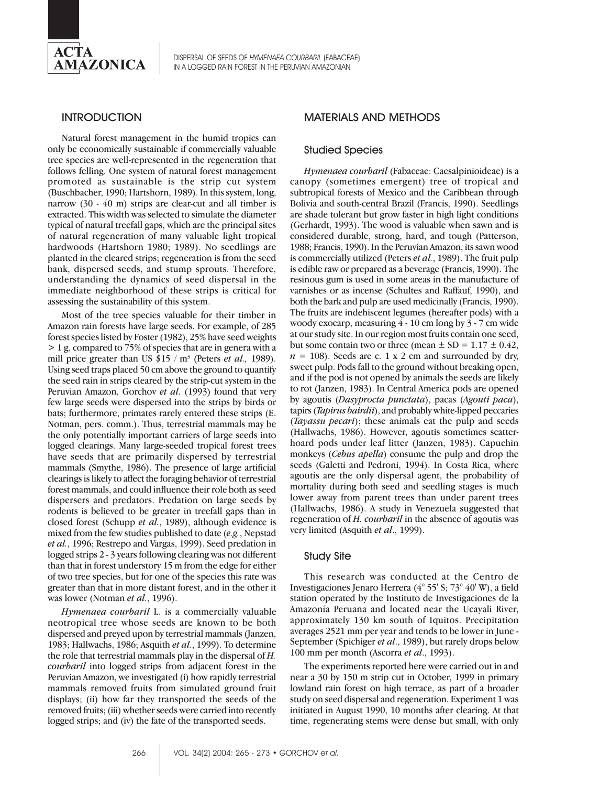

## **INTRODUCTION**

Natural forest management in the humid tropics can only be economically sustainable if commercially valuable tree species are well-represented in the regeneration that follows felling. One system of natural forest management promoted as sustainable is the strip cut system (Buschbacher, 1990; Hartshorn, 1989). In this system, long, narrow (30 - 40 m) strips are clear-cut and all timber is extracted. This width was selected to simulate the diameter typical of natural treefall gaps, which are the principal sites of natural regeneration of many valuable light tropical hardwoods (Hartshorn 1980; 1989). No seedlings are planted in the cleared strips; regeneration is from the seed bank, dispersed seeds, and stump sprouts. Therefore, understanding the dynamics of seed dispersal in the immediate neighborhood of these strips is critical for assessing the sustainability of this system.

Most of the tree species valuable for their timber in Amazon rain forests have large seeds. For example, of 285 forest species listed by Foster (1982), 25% have seed weights > 1 g, compared to 75% of species that are in genera with a mill price greater than US \$15 / m<sup>3</sup> (Peters *et al.*, 1989). Using seed traps placed 50 cm above the ground to quantify the seed rain in strips cleared by the strip-cut system in the Peruvian Amazon, Gorchov *et al*. (1993) found that very few large seeds were dispersed into the strips by birds or bats; furthermore, primates rarely entered these strips (E. Notman, pers. comm.). Thus, terrestrial mammals may be the only potentially important carriers of large seeds into logged clearings. Many large-seeded tropical forest trees have seeds that are primarily dispersed by terrestrial mammals (Smythe, 1986). The presence of large artificial clearings is likely to affect the foraging behavior of terrestrial forest mammals, and could influence their role both as seed dispersers and predators. Predation on large seeds by rodents is believed to be greater in treefall gaps than in closed forest (Schupp *et al.*, 1989), although evidence is mixed from the few studies published to date (*e.g.*, Nepstad *et al.*, 1996; Restrepo and Vargas, 1999). Seed predation in logged strips 2 - 3 years following clearing was not different than that in forest understory 15 m from the edge for either of two tree species, but for one of the species this rate was greater than that in more distant forest, and in the other it was lower (Notman *et al.*, 1996).

*Hymenaea courbaril* L. is a commercially valuable neotropical tree whose seeds are known to be both dispersed and preyed upon by terrestrial mammals (Janzen, 1983; Hallwachs, 1986; Asquith *et al.*, 1999). To determine the role that terrestrial mammals play in the dispersal of *H. courbaril* into logged strips from adjacent forest in the Peruvian Amazon, we investigated (i) how rapidly terrestrial mammals removed fruits from simulated ground fruit displays; (ii) how far they transported the seeds of the removed fruits; (iii) whether seeds were carried into recently logged strips; and (iv) the fate of the transported seeds.

## MATERIALS AND METHODS

## Studied Species

*Hymenaea courbaril* (Fabaceae: Caesalpinioideae) is a canopy (sometimes emergent) tree of tropical and subtropical forests of Mexico and the Caribbean through Bolivia and south-central Brazil (Francis, 1990). Seedlings are shade tolerant but grow faster in high light conditions (Gerhardt, 1993). The wood is valuable when sawn and is considered durable, strong, hard, and tough (Patterson, 1988; Francis, 1990). In the Peruvian Amazon, its sawn wood is commercially utilized (Peters *et al.*, 1989). The fruit pulp is edible raw or prepared as a beverage (Francis, 1990). The resinous gum is used in some areas in the manufacture of varnishes or as incense (Schultes and Raffauf, 1990), and both the bark and pulp are used medicinally (Francis, 1990). The fruits are indehiscent legumes (hereafter pods) with a woody exocarp, measuring 4 - 10 cm long by 3 - 7 cm wide at our study site. In our region most fruits contain one seed, but some contain two or three (mean  $\pm$  SD = 1.17  $\pm$  0.42,  $n = 108$ ). Seeds are c. 1 x 2 cm and surrounded by dry, sweet pulp. Pods fall to the ground without breaking open, and if the pod is not opened by animals the seeds are likely to rot (Janzen, 1983). In Central America pods are opened by agoutis (*Dasyprocta punctata*), pacas (*Agouti paca*), tapirs (*Tapirus bairdii*), and probably white-lipped peccaries (*Tayassu pecari*); these animals eat the pulp and seeds (Hallwachs, 1986). However, agoutis sometimes scatterhoard pods under leaf litter (Janzen, 1983). Capuchin monkeys (*Cebus apella*) consume the pulp and drop the seeds (Galetti and Pedroni, 1994). In Costa Rica, where agoutis are the only dispersal agent, the probability of mortality during both seed and seedling stages is much lower away from parent trees than under parent trees (Hallwachs, 1986). A study in Venezuela suggested that regeneration of *H. courbaril* in the absence of agoutis was very limited (Asquith *et al*., 1999).

#### Study Site

This research was conducted at the Centro de Investigaciones Jenaro Herrera (4° 55' S; 73° 40' W), a field station operated by the Instituto de Investigaciones de la Amazonía Peruana and located near the Ucayali River, approximately 130 km south of Iquitos. Precipitation averages 2521 mm per year and tends to be lower in June - September (Spichiger *et al*., 1989), but rarely drops below 100 mm per month (Ascorra *et al*., 1993).

The experiments reported here were carried out in and near a 30 by 150 m strip cut in October, 1999 in primary lowland rain forest on high terrace, as part of a broader study on seed dispersal and regeneration. Experiment 1 was initiated in August 1990, 10 months after clearing. At that time, regenerating stems were dense but small, with only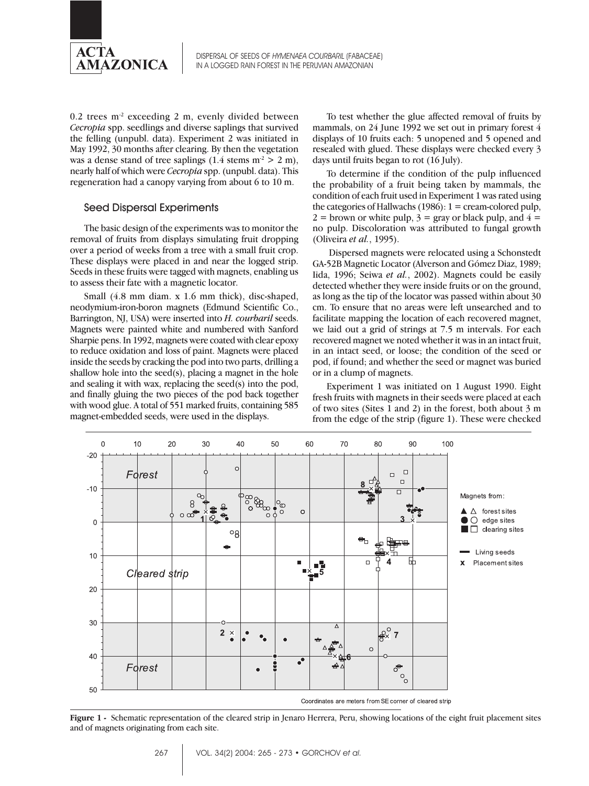

 $0.2$  trees m<sup>-2</sup> exceeding 2 m, evenly divided between *Cecropia* spp. seedlings and diverse saplings that survived the felling (unpubl. data). Experiment 2 was initiated in May 1992, 30 months after clearing. By then the vegetation was a dense stand of tree saplings  $(1.4 \text{ stems } m^2 > 2 \text{ m})$ , nearly half of which were *Cecropia* spp. (unpubl. data). This regeneration had a canopy varying from about 6 to 10 m.

## Seed Dispersal Experiments

The basic design of the experiments was to monitor the removal of fruits from displays simulating fruit dropping over a period of weeks from a tree with a small fruit crop. These displays were placed in and near the logged strip. Seeds in these fruits were tagged with magnets, enabling us to assess their fate with a magnetic locator.

Small (4.8 mm diam. x 1.6 mm thick), disc-shaped, neodymium-iron-boron magnets (Edmund Scientific Co., Barrington, NJ, USA) were inserted into *H. courbaril* seeds. Magnets were painted white and numbered with Sanford Sharpie pens. In 1992, magnets were coated with clear epoxy to reduce oxidation and loss of paint. Magnets were placed inside the seeds by cracking the pod into two parts, drilling a shallow hole into the seed(s), placing a magnet in the hole and sealing it with wax, replacing the seed(s) into the pod, and finally gluing the two pieces of the pod back together with wood glue. A total of 551 marked fruits, containing 585 magnet-embedded seeds, were used in the displays.

To test whether the glue affected removal of fruits by mammals, on 24 June 1992 we set out in primary forest 4 displays of 10 fruits each: 5 unopened and 5 opened and resealed with glued. These displays were checked every 3 days until fruits began to rot (16 July).

To determine if the condition of the pulp influenced the probability of a fruit being taken by mammals, the condition of each fruit used in Experiment 1 was rated using the categories of Hallwachs (1986):  $1 =$  cream-colored pulp,  $2 =$  brown or white pulp,  $3 =$  gray or black pulp, and  $4 =$ no pulp. Discoloration was attributed to fungal growth (Oliveira *et al.*, 1995).

 Dispersed magnets were relocated using a Schonstedt GA-52B Magnetic Locator (Alverson and Gómez Diaz, 1989; Iida, 1996; Seiwa *et al.*, 2002). Magnets could be easily detected whether they were inside fruits or on the ground, as long as the tip of the locator was passed within about 30 cm. To ensure that no areas were left unsearched and to facilitate mapping the location of each recovered magnet, we laid out a grid of strings at 7.5 m intervals. For each recovered magnet we noted whether it was in an intact fruit, in an intact seed, or loose; the condition of the seed or pod, if found; and whether the seed or magnet was buried or in a clump of magnets.

Experiment 1 was initiated on 1 August 1990. Eight fresh fruits with magnets in their seeds were placed at each of two sites (Sites 1 and 2) in the forest, both about 3 m from the edge of the strip (figure 1). These were checked



**Figure 1 -** Schematic representation of the cleared strip in Jenaro Herrera, Peru, showing locations of the eight fruit placement sites and of magnets originating from each site.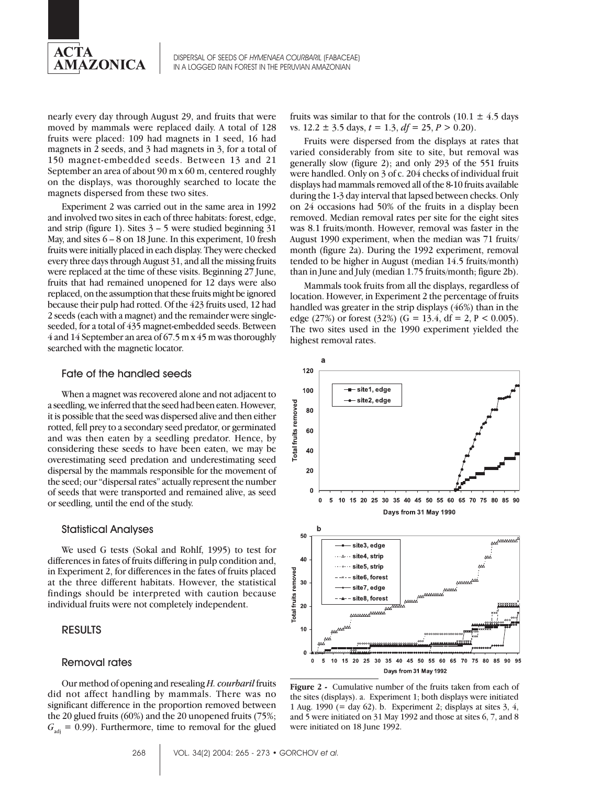

nearly every day through August 29, and fruits that were moved by mammals were replaced daily. A total of 128 fruits were placed: 109 had magnets in 1 seed, 16 had magnets in 2 seeds, and 3 had magnets in 3, for a total of 150 magnet-embedded seeds. Between 13 and 21 September an area of about 90 m x 60 m, centered roughly on the displays, was thoroughly searched to locate the magnets dispersed from these two sites.

Experiment 2 was carried out in the same area in 1992 and involved two sites in each of three habitats: forest, edge, and strip (figure 1). Sites  $3 - 5$  were studied beginning 31 May, and sites 6 – 8 on 18 June. In this experiment, 10 fresh fruits were initially placed in each display. They were checked every three days through August 31, and all the missing fruits were replaced at the time of these visits. Beginning 27 June, fruits that had remained unopened for 12 days were also replaced, on the assumption that these fruits might be ignored because their pulp had rotted. Of the 423 fruits used, 12 had 2 seeds (each with a magnet) and the remainder were singleseeded, for a total of 435 magnet-embedded seeds. Between 4 and 14 September an area of 67.5 m x 45 m was thoroughly searched with the magnetic locator.

#### Fate of the handled seeds

When a magnet was recovered alone and not adjacent to a seedling, we inferred that the seed had been eaten. However, it is possible that the seed was dispersed alive and then either rotted, fell prey to a secondary seed predator, or germinated and was then eaten by a seedling predator. Hence, by considering these seeds to have been eaten, we may be overestimating seed predation and underestimating seed dispersal by the mammals responsible for the movement of the seed; our "dispersal rates" actually represent the number of seeds that were transported and remained alive, as seed or seedling, until the end of the study.

#### Statistical Analyses

We used G tests (Sokal and Rohlf, 1995) to test for differences in fates of fruits differing in pulp condition and, in Experiment 2, for differences in the fates of fruits placed at the three different habitats. However, the statistical findings should be interpreted with caution because individual fruits were not completely independent.

### RESULTS

#### Removal rates

Our method of opening and resealing *H. courbaril* fruits did not affect handling by mammals. There was no significant difference in the proportion removed between the 20 glued fruits (60%) and the 20 unopened fruits (75%;  $G_{\text{at}} = 0.99$ . Furthermore, time to removal for the glued

fruits was similar to that for the controls  $(10.1 \pm 4.5$  days vs.  $12.2 \pm 3.5$  days,  $t = 1.3$ ,  $df = 25$ ,  $P > 0.20$ ).

Fruits were dispersed from the displays at rates that varied considerably from site to site, but removal was generally slow (figure 2); and only 293 of the 551 fruits were handled. Only on 3 of c. 204 checks of individual fruit displays had mammals removed all of the 8-10 fruits available during the 1-3 day interval that lapsed between checks. Only on 24 occasions had 50% of the fruits in a display been removed. Median removal rates per site for the eight sites was 8.1 fruits/month. However, removal was faster in the August 1990 experiment, when the median was 71 fruits/ month (figure 2a). During the 1992 experiment, removal tended to be higher in August (median 14.5 fruits/month) than in June and July (median 1.75 fruits/month; figure 2b).

Mammals took fruits from all the displays, regardless of location. However, in Experiment 2 the percentage of fruits handled was greater in the strip displays (46%) than in the edge (27%) or forest (32%) (G = 13.4, df = 2, P < 0.005). The two sites used in the 1990 experiment yielded the highest removal rates.



**Figure 2 -** Cumulative number of the fruits taken from each of the sites (displays). a. Experiment 1; both displays were initiated 1 Aug. 1990 (= day 62). b. Experiment 2; displays at sites  $3, 4$ , and 5 were initiated on 31 May 1992 and those at sites 6, 7, and 8 were initiated on 18 June 1992.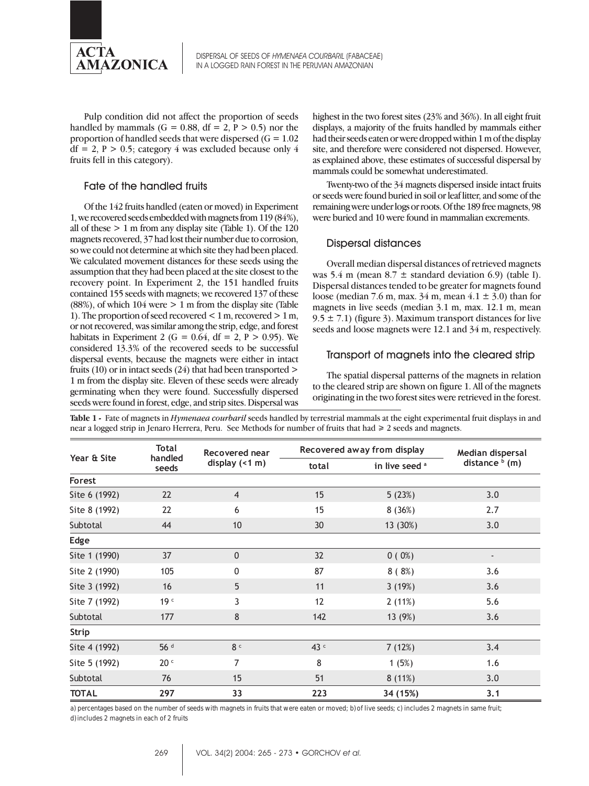

Pulp condition did not affect the proportion of seeds handled by mammals (G = 0.88, df = 2, P > 0.5) nor the proportion of handled seeds that were dispersed ( $G = 1.02$ )  $df = 2$ ,  $P > 0.5$ ; category 4 was excluded because only 4 fruits fell in this category).

### Fate of the handled fruits

Of the 142 fruits handled (eaten or moved) in Experiment 1, we recovered seeds embedded with magnets from 119 (84%), all of these > 1 m from any display site (Table 1). Of the 120 magnets recovered, 37 had lost their number due to corrosion, so we could not determine at which site they had been placed. We calculated movement distances for these seeds using the assumption that they had been placed at the site closest to the recovery point. In Experiment 2, the 151 handled fruits contained 155 seeds with magnets; we recovered 137 of these (88%), of which 104 were > 1 m from the display site (Table 1). The proportion of seed recovered < 1 m, recovered > 1 m, or not recovered, was similar among the strip, edge, and forest habitats in Experiment 2 (G =  $0.64$ , df = 2, P > 0.95). We considered 13.3% of the recovered seeds to be successful dispersal events, because the magnets were either in intact fruits (10) or in intact seeds (24) that had been transported  $>$ 1 m from the display site. Eleven of these seeds were already germinating when they were found. Successfully dispersed seeds were found in forest, edge, and strip sites. Dispersal was highest in the two forest sites (23% and 36%). In all eight fruit displays, a majority of the fruits handled by mammals either had their seeds eaten or were dropped within 1 m of the display site, and therefore were considered not dispersed. However, as explained above, these estimates of successful dispersal by mammals could be somewhat underestimated.

Twenty-two of the 34 magnets dispersed inside intact fruits or seeds were found buried in soil or leaf litter, and some of the remaining were under logs or roots. Of the 189 free magnets, 98 were buried and 10 were found in mammalian excrements.

## Dispersal distances

Overall median dispersal distances of retrieved magnets was 5.4 m (mean  $8.7 \pm$  standard deviation 6.9) (table I). Dispersal distances tended to be greater for magnets found loose (median 7.6 m, max.  $34$  m, mean  $4.1 \pm 3.0$ ) than for magnets in live seeds (median 3.1 m, max. 12.1 m, mean  $9.5 \pm 7.1$ ) (figure 3). Maximum transport distances for live seeds and loose magnets were 12.1 and 34 m, respectively.

## Transport of magnets into the cleared strip

The spatial dispersal patterns of the magnets in relation to the cleared strip are shown on figure 1. All of the magnets originating in the two forest sites were retrieved in the forest.

| Year & Site   | Total<br>handled<br>seeds | Recovered near<br>display $($ < 1 m $)$ | Recovered away from display |                           | Median dispersal |
|---------------|---------------------------|-----------------------------------------|-----------------------------|---------------------------|------------------|
|               |                           |                                         | total                       | in live seed <sup>a</sup> | distance $b$ (m) |
| <b>Forest</b> |                           |                                         |                             |                           |                  |
| Site 6 (1992) | 22                        | $\overline{4}$                          | 15                          | 5(23%)                    | 3.0              |
| Site 8 (1992) | 22                        | 6                                       | 15                          | 8(36%)                    | 2.7              |
| Subtotal      | 44                        | 10                                      | 30                          | 13 (30%)                  | 3.0              |
| Edge          |                           |                                         |                             |                           |                  |
| Site 1 (1990) | 37                        | $\mathbf{0}$                            | 32                          | $0(0\%)$                  |                  |
| Site 2 (1990) | 105                       | 0                                       | 87                          | 8(8%)                     | 3.6              |
| Site 3 (1992) | 16                        | 5                                       | 11                          | 3(19%)                    | 3.6              |
| Site 7 (1992) | 19 <sup>c</sup>           | 3                                       | 12                          | 2(11%)                    | 5.6              |
| Subtotal      | 177                       | 8                                       | 142                         | 13 (9%)                   | 3.6              |
| Strip         |                           |                                         |                             |                           |                  |
| Site 4 (1992) | 56 <sup>d</sup>           | 8 <sup>c</sup>                          | 43 $c$                      | 7(12%)                    | 3.4              |
| Site 5 (1992) | 20 <sup>c</sup>           | $\overline{7}$                          | 8                           | 1(5%)                     | 1.6              |
| Subtotal      | 76                        | 15                                      | 51                          | 8(11%)                    | 3.0              |
| <b>TOTAL</b>  | 297                       | 33                                      | 223                         | 34 (15%)                  | 3.1              |

**Table 1 -** Fate of magnets in *Hymenaea courbaril* seeds handled by terrestrial mammals at the eight experimental fruit displays in and near a logged strip in Jenaro Herrera, Peru. See Methods for number of fruits that  $had \geq 2$  seeds and magnets.

a) percentages based on the number of seeds with magnets in fruits that were eaten or moved; b) of live seeds; c) includes 2 magnets in same fruit; d) includes 2 magnets in each of 2 fruits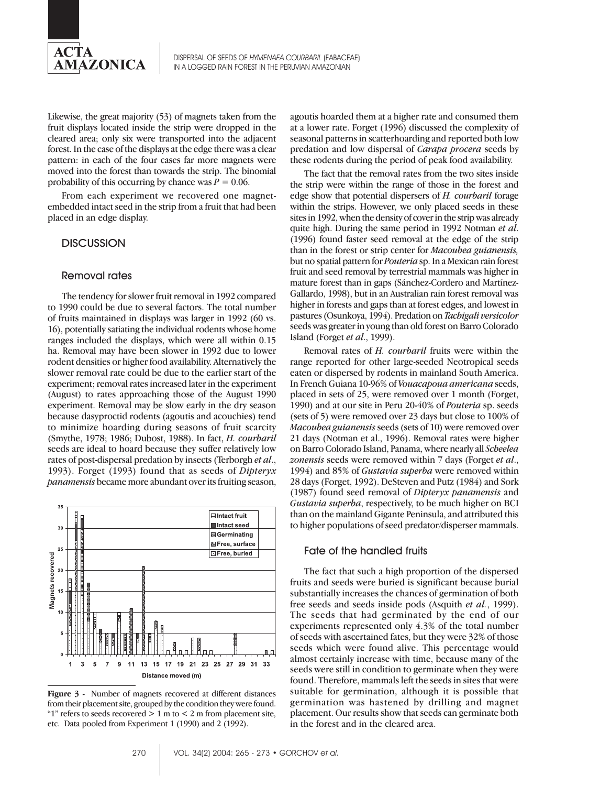

Likewise, the great majority (53) of magnets taken from the fruit displays located inside the strip were dropped in the cleared area; only six were transported into the adjacent forest. In the case of the displays at the edge there was a clear pattern: in each of the four cases far more magnets were moved into the forest than towards the strip. The binomial probability of this occurring by chance was  $P = 0.06$ .

From each experiment we recovered one magnetembedded intact seed in the strip from a fruit that had been placed in an edge display.

## **DISCUSSION**

#### Removal rates

The tendency for slower fruit removal in 1992 compared to 1990 could be due to several factors. The total number of fruits maintained in displays was larger in 1992 (60 vs. 16), potentially satiating the individual rodents whose home ranges included the displays, which were all within 0.15 ha. Removal may have been slower in 1992 due to lower rodent densities or higher food availability. Alternatively the slower removal rate could be due to the earlier start of the experiment; removal rates increased later in the experiment (August) to rates approaching those of the August 1990 experiment. Removal may be slow early in the dry season because dasyproctid rodents (agoutis and acouchies) tend to minimize hoarding during seasons of fruit scarcity (Smythe, 1978; 1986; Dubost, 1988). In fact, *H. courbaril* seeds are ideal to hoard because they suffer relatively low rates of post-dispersal predation by insects (Terborgh *et al*., 1993). Forget (1993) found that as seeds of *Dipteryx panamensis* became more abundant over its fruiting season,



**Figure 3 -** Number of magnets recovered at different distances from their placement site, grouped by the condition they were found. "1" refers to seeds recovered  $> 1$  m to  $< 2$  m from placement site, etc. Data pooled from Experiment 1 (1990) and 2 (1992).

agoutis hoarded them at a higher rate and consumed them at a lower rate. Forget (1996) discussed the complexity of seasonal patterns in scatterhoarding and reported both low predation and low dispersal of *Carapa procera* seeds by these rodents during the period of peak food availability.

The fact that the removal rates from the two sites inside the strip were within the range of those in the forest and edge show that potential dispersers of *H. courbaril* forage within the strips. However, we only placed seeds in these sites in 1992, when the density of cover in the strip was already quite high. During the same period in 1992 Notman *et al*. (1996) found faster seed removal at the edge of the strip than in the forest or strip center for *Macoubea guianensis,* but no spatial pattern for *Pouteria* sp. In a Mexican rain forest fruit and seed removal by terrestrial mammals was higher in mature forest than in gaps (Sánchez-Cordero and Martínez-Gallardo, 1998), but in an Australian rain forest removal was higher in forests and gaps than at forest edges, and lowest in pastures (Osunkoya, 1994). Predation on *Tachigali versicolor* seeds was greater in young than old forest on Barro Colorado Island (Forget *et al*., 1999).

Removal rates of *H. courbaril* fruits were within the range reported for other large-seeded Neotropical seeds eaten or dispersed by rodents in mainland South America. In French Guiana 10-96% of *Vouacapoua americana* seeds, placed in sets of 25, were removed over 1 month (Forget, 1990) and at our site in Peru 20-40% of *Pouteria* sp. seeds (sets of 5) were removed over 23 days but close to 100% of *Macoubea guianensis* seeds (sets of 10) were removed over 21 days (Notman et al., 1996). Removal rates were higher on Barro Colorado Island, Panama, where nearly all *Scheelea zonensis* seeds were removed within 7 days (Forget *et al*., 1994) and 85% of *Gustavia superba* were removed within 28 days (Forget, 1992). DeSteven and Putz (1984) and Sork (1987) found seed removal of *Dipteryx panamensis* and *Gustavia superba*, respectively, to be much higher on BCI than on the mainland Gigante Peninsula, and attributed this to higher populations of seed predator/disperser mammals.

#### Fate of the handled fruits

The fact that such a high proportion of the dispersed fruits and seeds were buried is significant because burial substantially increases the chances of germination of both free seeds and seeds inside pods (Asquith *et al.*, 1999). The seeds that had germinated by the end of our experiments represented only 4.3% of the total number of seeds with ascertained fates, but they were 32% of those seeds which were found alive. This percentage would almost certainly increase with time, because many of the seeds were still in condition to germinate when they were found. Therefore, mammals left the seeds in sites that were suitable for germination, although it is possible that germination was hastened by drilling and magnet placement. Our results show that seeds can germinate both in the forest and in the cleared area.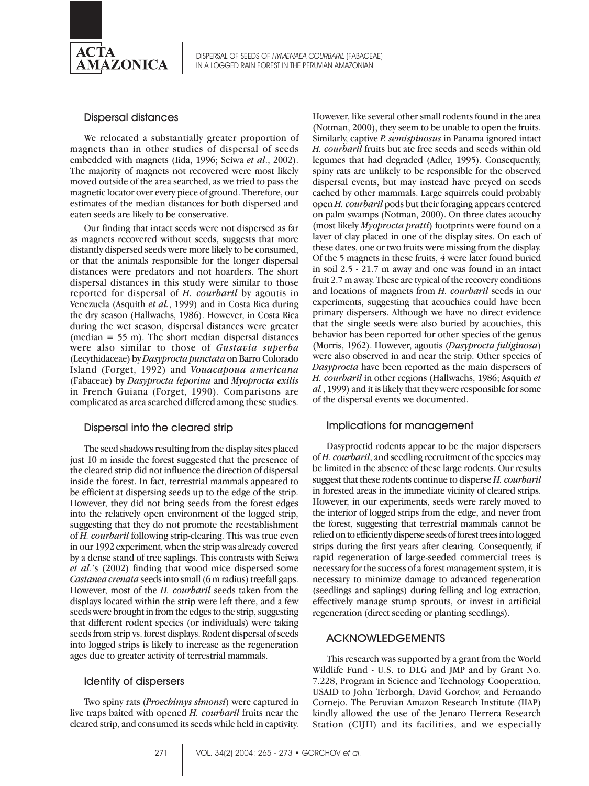

#### Dispersal distances

We relocated a substantially greater proportion of magnets than in other studies of dispersal of seeds embedded with magnets (Iida, 1996; Seiwa *et al*., 2002). The majority of magnets not recovered were most likely moved outside of the area searched, as we tried to pass the magnetic locator over every piece of ground. Therefore, our estimates of the median distances for both dispersed and eaten seeds are likely to be conservative.

Our finding that intact seeds were not dispersed as far as magnets recovered without seeds, suggests that more distantly dispersed seeds were more likely to be consumed, or that the animals responsible for the longer dispersal distances were predators and not hoarders. The short dispersal distances in this study were similar to those reported for dispersal of *H. courbaril* by agoutis in Venezuela (Asquith *et al.*, 1999) and in Costa Rica during the dry season (Hallwachs, 1986). However, in Costa Rica during the wet season, dispersal distances were greater (median  $= 55$  m). The short median dispersal distances were also similar to those of *Gustavia superba* (Lecythidaceae) by *Dasyprocta punctata* on Barro Colorado Island (Forget, 1992) and *Vouacapoua americana* (Fabaceae) by *Dasyprocta leporina* and *Myoprocta exilis* in French Guiana (Forget, 1990). Comparisons are complicated as area searched differed among these studies.

## Dispersal into the cleared strip

The seed shadows resulting from the display sites placed just 10 m inside the forest suggested that the presence of the cleared strip did not influence the direction of dispersal inside the forest. In fact, terrestrial mammals appeared to be efficient at dispersing seeds up to the edge of the strip. However, they did not bring seeds from the forest edges into the relatively open environment of the logged strip, suggesting that they do not promote the reestablishment of *H. courbaril* following strip-clearing. This was true even in our 1992 experiment, when the strip was already covered by a dense stand of tree saplings. This contrasts with Seiwa *et al.*'s (2002) finding that wood mice dispersed some *Castanea crenata* seeds into small (6 m radius) treefall gaps. However, most of the *H. courbaril* seeds taken from the displays located within the strip were left there, and a few seeds were brought in from the edges to the strip, suggesting that different rodent species (or individuals) were taking seeds from strip vs. forest displays. Rodent dispersal of seeds into logged strips is likely to increase as the regeneration ages due to greater activity of terrestrial mammals.

#### Identity of dispersers

Two spiny rats (*Proechimys simonsi*) were captured in live traps baited with opened *H. courbaril* fruits near the cleared strip, and consumed its seeds while held in captivity.

However, like several other small rodents found in the area (Notman, 2000), they seem to be unable to open the fruits. Similarly, captive *P. semispinosus* in Panama ignored intact *H. courbaril* fruits but ate free seeds and seeds within old legumes that had degraded (Adler, 1995). Consequently, spiny rats are unlikely to be responsible for the observed dispersal events, but may instead have preyed on seeds cached by other mammals. Large squirrels could probably open *H. courbaril* pods but their foraging appears centered on palm swamps (Notman, 2000). On three dates acouchy (most likely *Myoprocta pratti*) footprints were found on a layer of clay placed in one of the display sites. On each of these dates, one or two fruits were missing from the display. Of the 5 magnets in these fruits, 4 were later found buried in soil 2.5 - 21.7 m away and one was found in an intact fruit 2.7 m away. These are typical of the recovery conditions and locations of magnets from *H. courbaril* seeds in our experiments, suggesting that acouchies could have been primary dispersers. Although we have no direct evidence that the single seeds were also buried by acouchies, this behavior has been reported for other species of the genus (Morris, 1962). However, agoutis (*Dasyprocta fuliginosa*) were also observed in and near the strip. Other species of *Dasyprocta* have been reported as the main dispersers of *H. courbaril* in other regions (Hallwachs, 1986; Asquith *et al.*, 1999) and it is likely that they were responsible for some of the dispersal events we documented.

#### Implications for management

Dasyproctid rodents appear to be the major dispersers of *H. courbaril*, and seedling recruitment of the species may be limited in the absence of these large rodents. Our results suggest that these rodents continue to disperse *H. courbaril* in forested areas in the immediate vicinity of cleared strips. However, in our experiments, seeds were rarely moved to the interior of logged strips from the edge, and never from the forest, suggesting that terrestrial mammals cannot be relied on to efficiently disperse seeds of forest trees into logged strips during the first years after clearing. Consequently, if rapid regeneration of large-seeded commercial trees is necessary for the success of a forest management system, it is necessary to minimize damage to advanced regeneration (seedlings and saplings) during felling and log extraction, effectively manage stump sprouts, or invest in artificial regeneration (direct seeding or planting seedlings).

#### ACKNOWLEDGEMENTS

This research was supported by a grant from the World Wildlife Fund - U.S. to DLG and JMP and by Grant No. 7.228, Program in Science and Technology Cooperation, USAID to John Terborgh, David Gorchov, and Fernando Cornejo. The Peruvian Amazon Research Institute (IIAP) kindly allowed the use of the Jenaro Herrera Research Station (CIJH) and its facilities, and we especially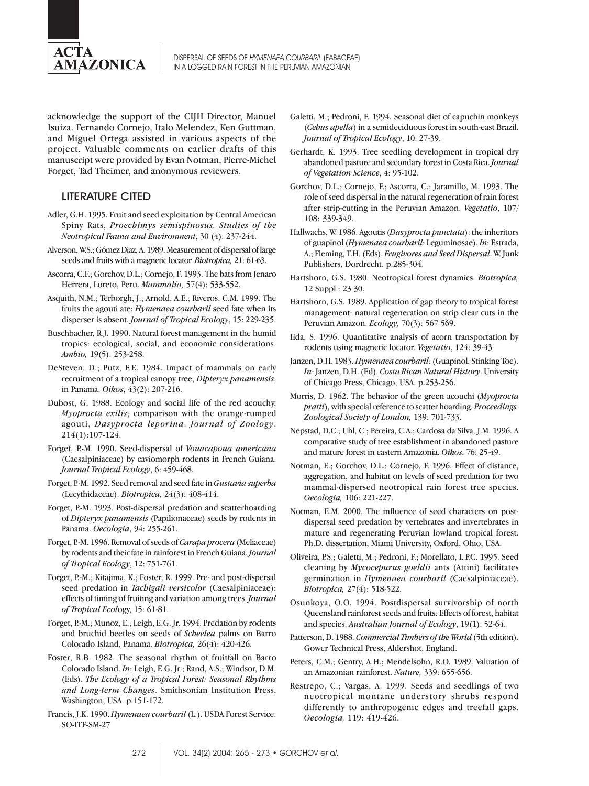

acknowledge the support of the CIJH Director, Manuel Isuiza. Fernando Cornejo, Italo Melendez, Ken Guttman, and Miguel Ortega assisted in various aspects of the project. Valuable comments on earlier drafts of this manuscript were provided by Evan Notman, Pierre-Michel Forget, Tad Theimer, and anonymous reviewers.

## LITERATURE CITED

- Adler, G.H. 1995. Fruit and seed exploitation by Central American Spiny Rats, *Proechimys semispinosus. Studies of the Neotropical Fauna and Environment*, 30 (4): 237-244.
- Alverson, W.S.; Gómez Diaz, A. 1989. Measurement of dispersal of large seeds and fruits with a magnetic locator. *Biotropica,* 21: 61-63.
- Ascorra, C.F.; Gorchov, D.L.; Cornejo, F. 1993. The bats from Jenaro Herrera, Loreto, Peru. *Mammalia,* 57(4): 533-552.
- Asquith, N.M.; Terborgh, J.; Arnold, A.E.; Riveros, C.M. 1999. The fruits the agouti ate: *Hymenaea courbaril* seed fate when its disperser is absent. *Journal of Tropical Ecology*, 15: 229-235.
- Buschbacher, R.J. 1990. Natural forest management in the humid tropics: ecological, social, and economic considerations. *Ambio,* 19(5): 253-258.
- DeSteven, D.; Putz, F.E. 1984. Impact of mammals on early recruitment of a tropical canopy tree, *Dipteryx panamensis*, in Panama. *Oikos*, 43(2): 207-216.
- Dubost, G. 1988. Ecology and social life of the red acouchy, *Myoprocta exilis*; comparison with the orange-rumped agouti, *Dasyprocta leporina*. *Journal of Zoology*, 214(1):107-124.
- Forget, P.-M. 1990. Seed-dispersal of *Vouacapoua americana* (Caesalpiniaceae) by caviomorph rodents in French Guiana. *Journal Tropical Ecology*, 6: 459-468.
- Forget, P.-M. 1992. Seed removal and seed fate in *Gustavia superba* (Lecythidaceae). *Biotropica,* 24(3): 408-414.
- Forget, P.-M. 1993. Post-dispersal predation and scatterhoarding of *Dipteryx panamensis* (Papilionaceae) seeds by rodents in Panama. *Oecologia*, 94: 255-261.
- Forget, P.-M. 1996. Removal of seeds of *Carapa procera* (Meliaceae) by rodents and their fate in rainforest in French Guiana. *Journal of Tropical Ecology*, 12: 751-761.
- Forget, P.-M.; Kitajima, K.; Foster, R. 1999. Pre- and post-dispersal seed predation in *Tachigali versicolor* (Caesalpiniaceae): effects of timing of fruiting and variation among trees. *Journal of Tropical Ecol*ogy, 15: 61-81.
- Forget, P.-M.; Munoz, E.; Leigh, E.G. Jr. 1994. Predation by rodents and bruchid beetles on seeds of *Scheelea* palms on Barro Colorado Island, Panama. *Biotropica,* 26(4): 420-426.
- Foster, R.B. 1982. The seasonal rhythm of fruitfall on Barro Colorado Island. *In*: Leigh, E.G. Jr.; Rand, A.S.; Windsor, D.M. (Eds). *The Ecology of a Tropical Forest: Seasonal Rhythms and Long-term Changes*. Smithsonian Institution Press, Washington, USA. p.151-172.
- Francis, J.K. 1990. *Hymenaea courbaril* (L.). USDA Forest Service. SO-ITF-SM-27
- Galetti, M.; Pedroni, F. 1994. Seasonal diet of capuchin monkeys (*Cebus apella*) in a semideciduous forest in south-east Brazil. *Journal of Tropical Ecology*, 10: 27-39.
- Gerhardt, K. 1993. Tree seedling development in tropical dry abandoned pasture and secondary forest in Costa Rica. *Journal of Vegetation Science*, 4: 95-102.
- Gorchov, D.L.; Cornejo, F.; Ascorra, C.; Jaramillo, M. 1993. The role of seed dispersal in the natural regeneration of rain forest after strip-cutting in the Peruvian Amazon. *Vegetatio*, 107/ 108: 339-349.
- Hallwachs, W. 1986. Agoutis (*Dasyprocta punctata*): the inheritors of guapinol (*Hymenaea courbaril*: Leguminosae). *In*: Estrada, A.; Fleming, T.H. (Eds). *Frugivores and Seed Dispersal*. W. Junk Publishers, Dordrecht. p.285-304.
- Hartshorn, G.S. 1980. Neotropical forest dynamics. *Biotropica,* 12 Suppl.: 23 30.
- Hartshorn, G.S. 1989. Application of gap theory to tropical forest management: natural regeneration on strip clear cuts in the Peruvian Amazon. *Ecology,* 70(3): 567 569.
- Iida, S. 1996. Quantitative analysis of acorn transportation by rodents using magnetic locator. *Vegetatio*, 124: 39-43
- Janzen, D.H. 1983. *Hymenaea courbaril*: (Guapinol, Stinking Toe). *In*: Janzen, D.H. (Ed). *Costa Rican Natural History*. University of Chicago Press, Chicago, USA. p.253-256.
- Morris, D. 1962. The behavior of the green acouchi (*Myoprocta pratti*), with special reference to scatter hoarding. *Proceedings. Zoological Society of London,* 139: 701-733.
- Nepstad, D.C.; Uhl, C.; Pereira, C.A.; Cardosa da Silva, J.M. 1996. A comparative study of tree establishment in abandoned pasture and mature forest in eastern Amazonia. *Oikos*, 76: 25-49.
- Notman, E.; Gorchov, D.L.; Cornejo, F. 1996. Effect of distance, aggregation, and habitat on levels of seed predation for two mammal-dispersed neotropical rain forest tree species. *Oecologia,* 106: 221-227.
- Notman, E.M. 2000. The influence of seed characters on postdispersal seed predation by vertebrates and invertebrates in mature and regenerating Peruvian lowland tropical forest. Ph.D. dissertation, Miami University, Oxford, Ohio, USA.
- Oliveira, P.S.; Galetti, M.; Pedroni, F.; Morellato, L.P.C. 1995. Seed cleaning by *Mycocepurus goeldii* ants (Attini) facilitates germination in *Hymenaea courbaril* (Caesalpiniaceae). *Biotropica,* 27(4): 518-522.
- Osunkoya, O.O. 1994. Postdispersal survivorship of north Queensland rainforest seeds and fruits: Effects of forest, habitat and species. *Australian Journal of Ecology*, 19(1): 52-64.
- Patterson, D. 1988. *Commercial Timbers of the World* (5th edition). Gower Technical Press, Aldershot, England.
- Peters, C.M.; Gentry, A.H.; Mendelsohn, R.O. 1989. Valuation of an Amazonian rainforest. *Nature,* 339: 655-656.
- Restrepo, C.; Vargas, A. 1999. Seeds and seedlings of two neotropical montane understory shrubs respond differently to anthropogenic edges and treefall gaps. *Oecologia,* 119: 419-426.